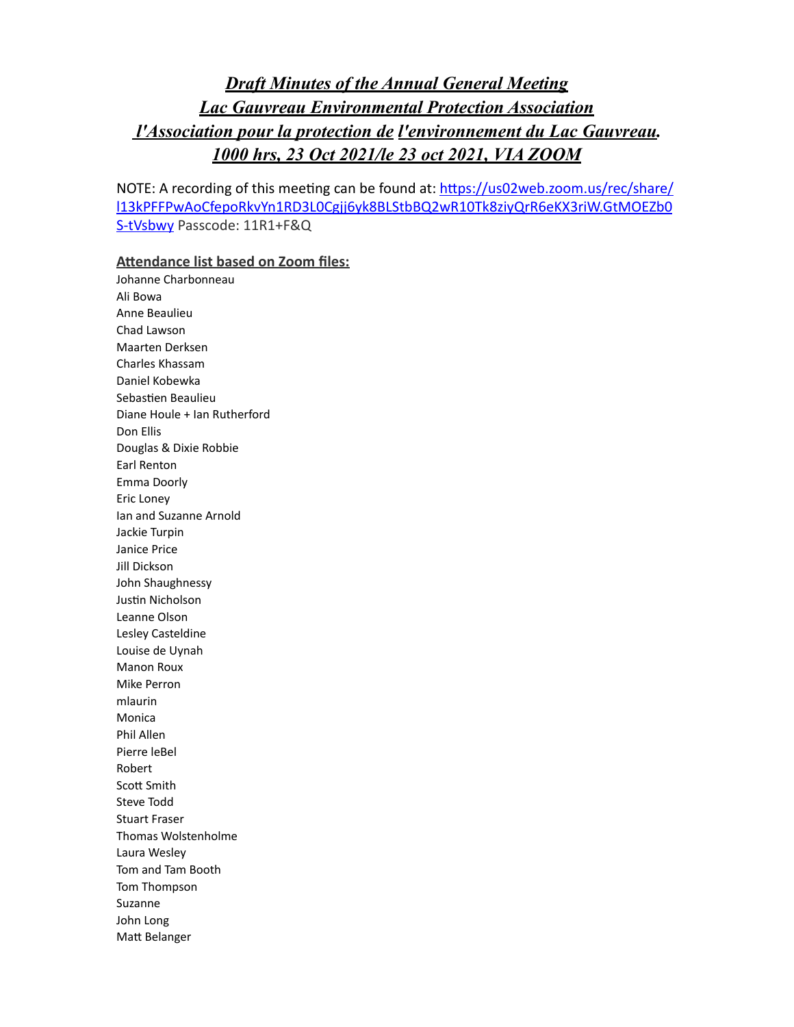# *Draft Minutes of the Annual General Meeting Lac Gauvreau Environmental Protection Association l'Association pour la protection de l'environnement du Lac Gauvreau. 1000 hrs, 23 Oct 2021/le 23 oct 2021, VIA ZOOM*

NOTE: A recording of this meeting can be found at: https://us02web.zoom.us/rec/share/ [l13kPFFPwAoCfepoRkvYn1RD3L0Cgjj6yk8BLStbBQ2wR10Tk8ziyQrR6eKX3riW.GtMOEZb0](https://us02web.zoom.us/rec/share/l13kPFFPwAoCfepoRkvYn1RD3L0Cgjj6yk8BLStbBQ2wR10Tk8ziyQrR6eKX3riW.GtMOEZb0S-tVsbwy) [S-tVsbwy](https://us02web.zoom.us/rec/share/l13kPFFPwAoCfepoRkvYn1RD3L0Cgjj6yk8BLStbBQ2wR10Tk8ziyQrR6eKX3riW.GtMOEZb0S-tVsbwy) Passcode: 11R1+F&Q

#### **Attendance list based on Zoom files:**

Johanne Charbonneau Ali Bowa Anne Beaulieu Chad Lawson Maarten Derksen Charles Khassam Daniel Kobewka Sebastien Beaulieu Diane Houle + Ian Rutherford Don Ellis Douglas & Dixie Robbie Earl Renton Emma Doorly Eric Loney Ian and Suzanne Arnold Jackie Turpin Janice Price Jill Dickson John Shaughnessy Justin Nicholson Leanne Olson Lesley Casteldine Louise de Uynah **Manon Roux** Mike Perron mlaurin Monica Phil Allen Pierre leBel Robert Scott Smith Steve Todd Stuart Fraser Thomas Wolstenholme Laura Wesley Tom and Tam Booth Tom Thompson Suzanne John Long Matt Belanger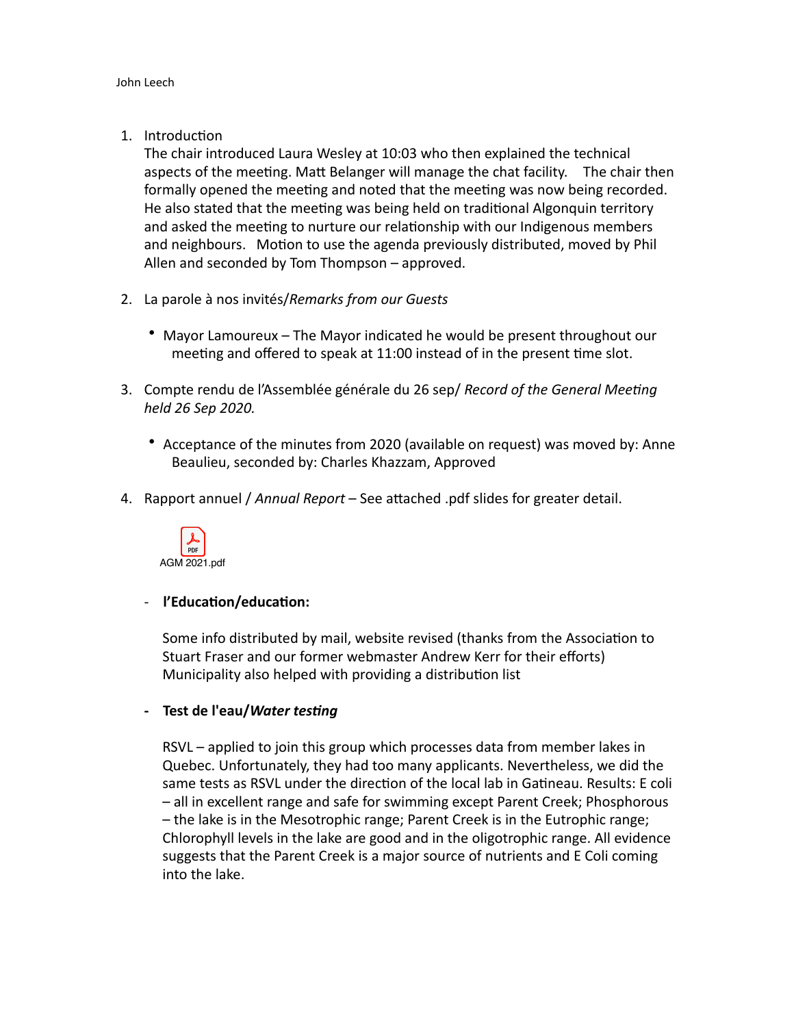1. Introduction

The chair introduced Laura Wesley at 10:03 who then explained the technical aspects of the meeting. Matt Belanger will manage the chat facility. The chair then formally opened the meeting and noted that the meeting was now being recorded. He also stated that the meeting was being held on traditional Algonquin territory and asked the meeting to nurture our relationship with our Indigenous members and neighbours. Motion to use the agenda previously distributed, moved by Phil Allen and seconded by Tom Thompson  $-$  approved.

- 2. La parole à nos invités/Remarks from our Guests
	- Mayor Lamoureux The Mayor indicated he would be present throughout our meeting and offered to speak at 11:00 instead of in the present time slot.
- 3. Compte rendu de l'Assemblée générale du 26 sep/ Record of the General Meeting *held 26 Sep 2020.*
	- Acceptance of the minutes from 2020 (available on request) was moved by: Anne Beaulieu, seconded by: Charles Khazzam, Approved
- 4. Rapport annuel / Annual Report See attached .pdf slides for greater detail.



## - **l'Education/education:**

Some info distributed by mail, website revised (thanks from the Association to Stuart Fraser and our former webmaster Andrew Kerr for their efforts) Municipality also helped with providing a distribution list

## **- Test de l'eau/***Water testing*

RSVL – applied to join this group which processes data from member lakes in Quebec. Unfortunately, they had too many applicants. Nevertheless, we did the same tests as RSVL under the direction of the local lab in Gatineau. Results: E coli - all in excellent range and safe for swimming except Parent Creek; Phosphorous - the lake is in the Mesotrophic range; Parent Creek is in the Eutrophic range; Chlorophyll levels in the lake are good and in the oligotrophic range. All evidence suggests that the Parent Creek is a major source of nutrients and E Coli coming into the lake.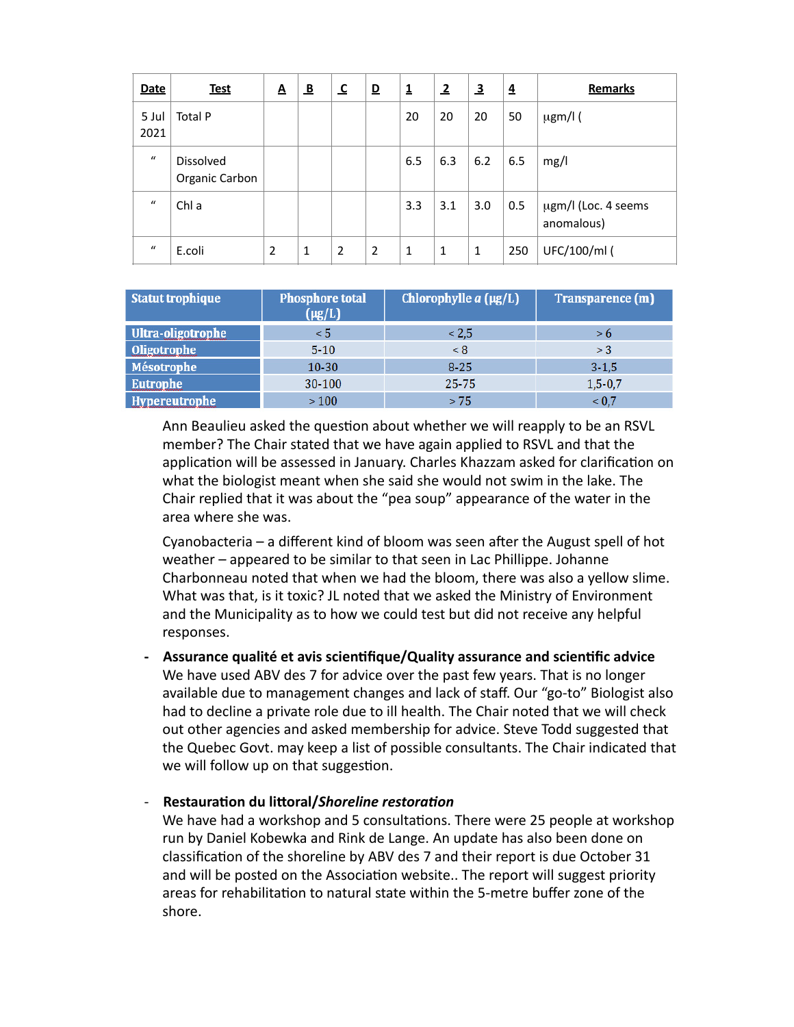| <b>Date</b>   | <b>Test</b>                        | A | $\overline{\mathbf{B}}$ | $\overline{\mathbf{c}}$ | $\overline{\mathbf{D}}$ | $\overline{\mathbf{1}}$ | $\overline{2}$ | $\overline{\mathbf{3}}$ | $\overline{\mathbf{z}}$ | <b>Remarks</b>                    |
|---------------|------------------------------------|---|-------------------------|-------------------------|-------------------------|-------------------------|----------------|-------------------------|-------------------------|-----------------------------------|
| 5 Jul<br>2021 | Total P                            |   |                         |                         |                         | 20                      | 20             | 20                      | 50                      | $\mu$ gm/l (                      |
| $\mathbf{u}$  | <b>Dissolved</b><br>Organic Carbon |   |                         |                         |                         | 6.5                     | 6.3            | 6.2                     | 6.5                     | mg/l                              |
| $\bf{u}$      | Chl a                              |   |                         |                         |                         | 3.3                     | 3.1            | 3.0                     | 0.5                     | µgm/l (Loc. 4 seems<br>anomalous) |
| $\iota$       | E.coli                             | 2 | 1                       | $\overline{2}$          | 2                       | 1                       | 1              | 1                       | 250                     | UFC/100/ml (                      |

| <b>Statut trophique</b> | <b>Phosphore total</b><br>$(\mu g/L)$ | Chlorophylle $a(\mu g/L)$ | Transparence (m) |
|-------------------------|---------------------------------------|---------------------------|------------------|
| Ultra-oligotrophe       | $\leq 5$                              | < 2.5                     | > 6              |
| Oligotrophe             | $5 - 10$                              | < 8                       | >3               |
| <b>Mésotrophe</b>       | $10 - 30$                             | $8 - 25$                  | $3 - 1.5$        |
| Eutrophe                | 30-100                                | $25 - 75$                 | $1,5-0,7$        |
| Hypereutrophe           | >100                                  | > 75                      | ${}_{0.7}$       |

Ann Beaulieu asked the question about whether we will reapply to be an RSVL member? The Chair stated that we have again applied to RSVL and that the application will be assessed in January. Charles Khazzam asked for clarification on what the biologist meant when she said she would not swim in the lake. The Chair replied that it was about the "pea soup" appearance of the water in the area where she was.

Cyanobacteria  $-$  a different kind of bloom was seen after the August spell of hot weather – appeared to be similar to that seen in Lac Phillippe. Johanne Charbonneau noted that when we had the bloom, there was also a yellow slime. What was that, is it toxic? JL noted that we asked the Ministry of Environment and the Municipality as to how we could test but did not receive any helpful responses.

Assurance qualité et avis scientifique/Quality assurance and scientific advice We have used ABV des 7 for advice over the past few years. That is no longer available due to management changes and lack of staff. Our "go-to" Biologist also had to decline a private role due to ill health. The Chair noted that we will check out other agencies and asked membership for advice. Steve Todd suggested that the Quebec Govt. may keep a list of possible consultants. The Chair indicated that we will follow up on that suggestion.

#### - **Restauration du littoral/***Shoreline restoration*

We have had a workshop and 5 consultations. There were 25 people at workshop run by Daniel Kobewka and Rink de Lange. An update has also been done on classification of the shoreline by ABV des 7 and their report is due October 31 and will be posted on the Association website.. The report will suggest priority areas for rehabilitation to natural state within the 5-metre buffer zone of the shore.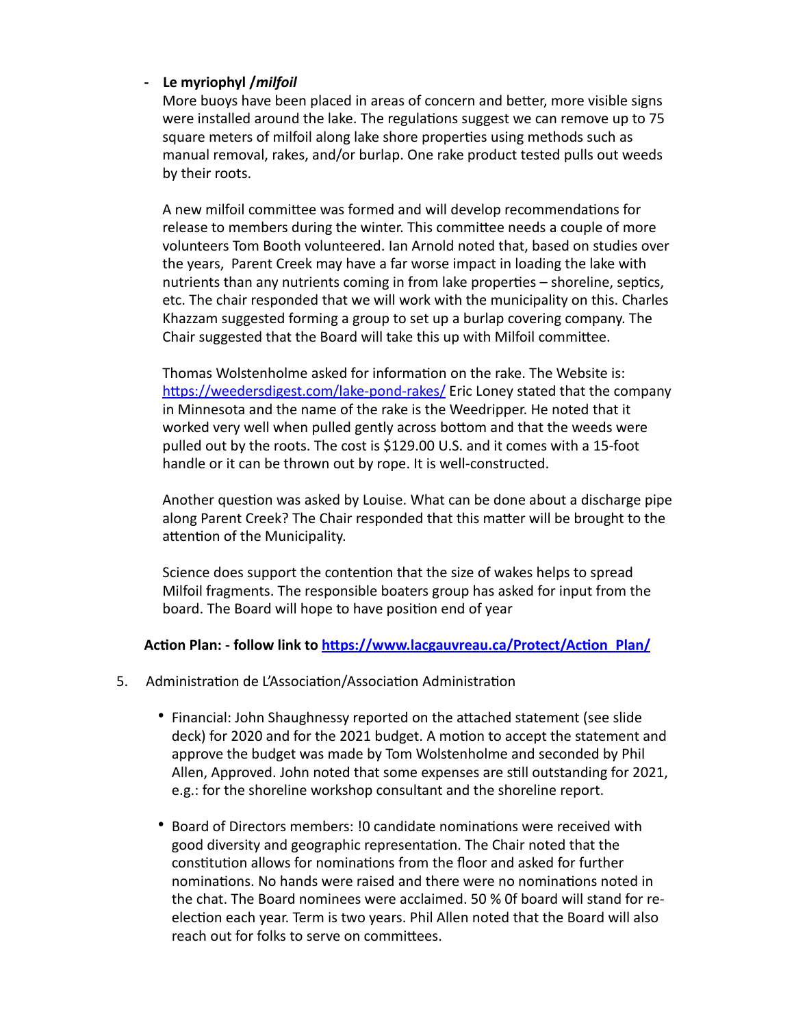## **- Le myriophyl /***milfoil*

More buoys have been placed in areas of concern and better, more visible signs were installed around the lake. The regulations suggest we can remove up to 75 square meters of milfoil along lake shore properties using methods such as manual removal, rakes, and/or burlap. One rake product tested pulls out weeds by their roots.

A new milfoil committee was formed and will develop recommendations for release to members during the winter. This committee needs a couple of more volunteers Tom Booth volunteered. Ian Arnold noted that, based on studies over the years, Parent Creek may have a far worse impact in loading the lake with nutrients than any nutrients coming in from lake properties – shoreline, septics, etc. The chair responded that we will work with the municipality on this. Charles Khazzam suggested forming a group to set up a burlap covering company. The Chair suggested that the Board will take this up with Milfoil committee.

Thomas Wolstenholme asked for information on the rake. The Website is: https://weedersdigest.com/lake-pond-rakes/ Eric Loney stated that the company in Minnesota and the name of the rake is the Weedripper. He noted that it worked very well when pulled gently across bottom and that the weeds were pulled out by the roots. The cost is \$129.00 U.S. and it comes with a 15-foot handle or it can be thrown out by rope. It is well-constructed.

Another question was asked by Louise. What can be done about a discharge pipe along Parent Creek? The Chair responded that this matter will be brought to the attention of the Municipality.

Science does support the contention that the size of wakes helps to spread Milfoil fragments. The responsible boaters group has asked for input from the board. The Board will hope to have position end of year

## Action Plan: - follow link to https://www.lacgauvreau.ca/Protect/Action\_Plan/

- 5. Administration de L'Association/Association Administration
	- Financial: John Shaughnessy reported on the attached statement (see slide deck) for 2020 and for the 2021 budget. A motion to accept the statement and approve the budget was made by Tom Wolstenholme and seconded by Phil Allen, Approved. John noted that some expenses are still outstanding for 2021, e.g.: for the shoreline workshop consultant and the shoreline report.
	- Board of Directors members: ! Ocandidate nominations were received with good diversity and geographic representation. The Chair noted that the constitution allows for nominations from the floor and asked for further nominations. No hands were raised and there were no nominations noted in the chat. The Board nominees were acclaimed. 50 % Of board will stand for reelection each year. Term is two years. Phil Allen noted that the Board will also reach out for folks to serve on committees.